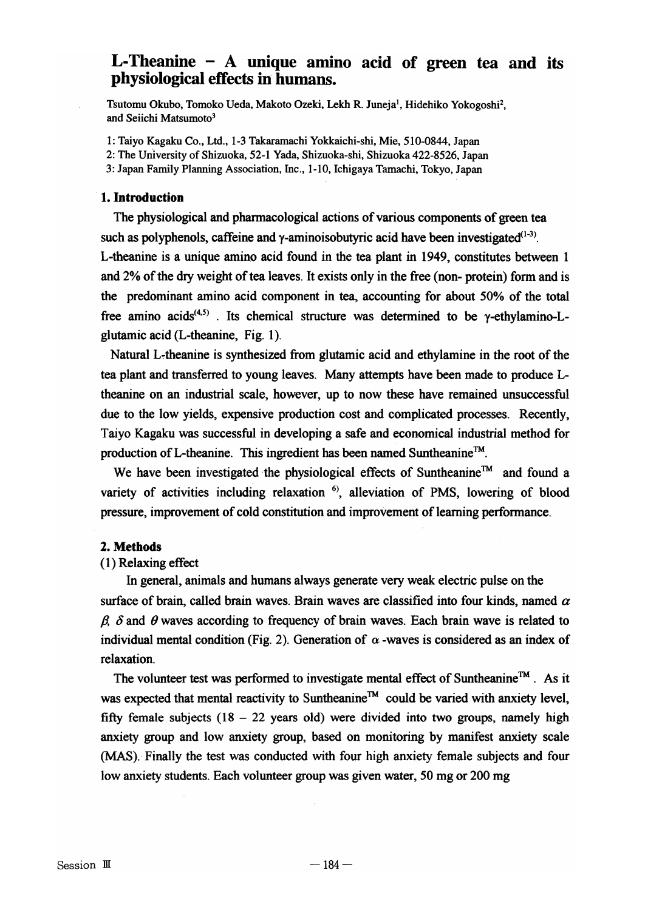# L-Theanine  $-$  A unique amino acid of green tea and its physiological effects in humans.

Tsutomu Okubo, Tomoko Ueda, Makoto Ozeki, Lekh R. Juneja<sup>1</sup>, Hidehiko Yokogoshi<sup>2</sup>, and Seiichi Matsumoto<sup>3</sup>

1: Taiyo Kagaku Co., Ltd., 1-3 Takaramachi Yokkaichi-shi, Mie, 510-0844, Japan

2: The UnIversity of Shizuoka, 52-1 Yada, Shizuoka-shi, Shizuoka 422-8526, Japan

3: Japan Family Planning Association, Inc., 1-10, Ichigaya Tamachi, Tokyo, Japan

## .1. Introduction

The physiological and pharmacological actions of various components of green tea such as polyphenols, caffeine and  $\gamma$ -aminoisobutyric acid have been investigated<sup>(1-3)</sup>. L-theanine is a unique amino acid found in the tea plant in 1949, constitutes between 1 and 2% of the dry weight of tea leaves. It exists only in the free (non- protein) form and is the predominant amino acid component in tea, accounting for about 50% of the total free amino acids<sup>(4,5)</sup>. Its chemical structure was determined to be  $\gamma$ -ethylamino-Lglutamic acid (L-theanine, Fig. 1).

Natural L-theanine is synthesized from glutamic acid and ethylamine in the root of the tea plant and transferred to young leaves. Many attempts have been made to produce Ltheanine on an industrial scale, however, up to now these have remained unsuccessful due to the low yields, expensive production cost and complicated processes. Recently, Taiyo Kagaku was successful in developing a safe and economical industrial method for production of L-theanine. This ingredient has been named Suntheanine™.

We have been investigated the physiological effects of Suntheanine™ and found a variety of activities including relaxation  $6$ , alleviation of PMS, lowering of blood pressure, improvement of cold constitution and improvement of learning performance.

## 2. Methods

## (1) Relaxing effect

In general, animals and humans always generate very weak electric pulse on the surface of brain, called brain waves. Brain waves are classified into four kinds, named  $\alpha$  $\beta$ ,  $\delta$  and  $\theta$  waves according to frequency of brain waves. Each brain wave is related to individual mental condition (Fig. 2). Generation of  $\alpha$  -waves is considered as an index of relaxation.

The volunteer test was performed to investigate mental effect of Suntheanine<sup>™</sup>. As it was expected that mental reactivity to Suntheanine™ could be varied with anxiety level, fifty female subjects  $(18 - 22)$  years old) were divided into two groups, namely high anxiety group and low anxiety group, based on monitoring by manifest anxiety scale (MAS). Finally the test was conducted with four high anxiety female subjects and four low anxiety students. Each volunteer group was given water, 50 mg or 200 mg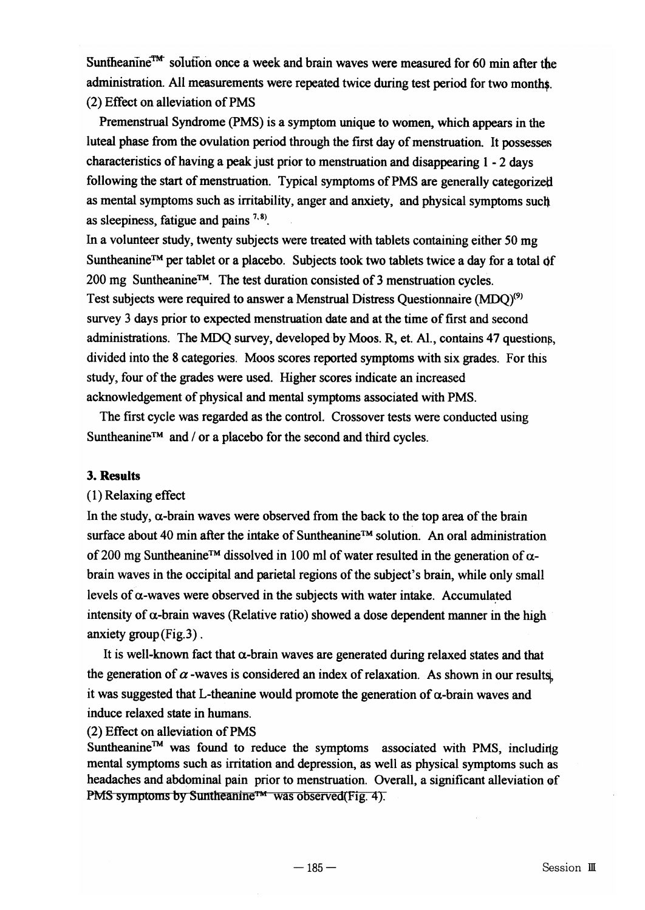Suntheanine<sup>TM</sup> solution once a week and brain waves were measured for 60 min after the administration. All measurements were repeated twice during test period for two months. (2) Effect on alleviation ofPMS

Premenstrual Syndrome (PMS) is a symptom unique to women, which appears in the luteal phase from the ovulation period through the first day of menstruation. It possesses characteristics ofhaving a peak just prior to menstruation and disappearing 1 - 2 days following the start of menstruation. Typical symptoms of PMS are generally categorized as mental symptoms such as irritability, anger and anxiety, and physical symptoms sucli as sleepiness, fatigue and pains  $7,8$ .

In a volunteer study, twenty subjects were treated with tablets containing either 50 mg Suntheanine™ per tablet or a placebo. Subjects took two tablets twice a day for a total of 200 mg Suntheanine™. The test duration consisted of 3 menstruation cycles. Test subjects were required to answer a Menstrual Distress Questionnaire (MDQ)(9) survey 3 days prior to expected menstruation date and at the time of first and second administrations. The MDQ survey, developed by Moos. R, et. Al., contains 47 questions, divided into the 8 categories. Moos scores reported symptoms with six grades. For this study, four of the grades were used. Higher scores indicate an increased acknowledgement of physical and mental symptoms associated with PMS.

The first cycle was regarded as the control. Crossover tests were conducted using Suntheanine™ and / or a placebo for the second and third cycles.

# 3. Results

# (1) Relaxing effect

In the study,  $\alpha$ -brain waves were observed from the back to the top area of the brain surface about 40 min after the intake of Suntheanine™ solution. An oral administration of 200 mg Suntheanine<sup>™</sup> dissolved in 100 ml of water resulted in the generation of  $\alpha$ brain waves in the occipital and parietal regions of the subject's brain, while only small levels of  $\alpha$ -waves were observed in the subjects with water intake. Accumulated intensity of  $\alpha$ -brain waves (Relative ratio) showed a dose dependent manner in the high anxiety group (Fig.3) .

It is well-known fact that  $\alpha$ -brain waves are generated during relaxed states and that the generation of  $\alpha$ -waves is considered an index of relaxation. As shown in our results, it was suggested that L-theanine would promote the generation of  $\alpha$ -brain waves and induce relaxed state in humans.

(2) Effect on alleviation ofPMS

Suntheanine<sup>™</sup> was found to reduce the symptoms associated with PMS, including mental symptoms such as irritation and depression, as well as physical symptoms such as headaches and abdominal pain prior to menstruation. Overall, a significant alleviation of PMS symptoms by Suntheanine™ was observed(Fig. 4).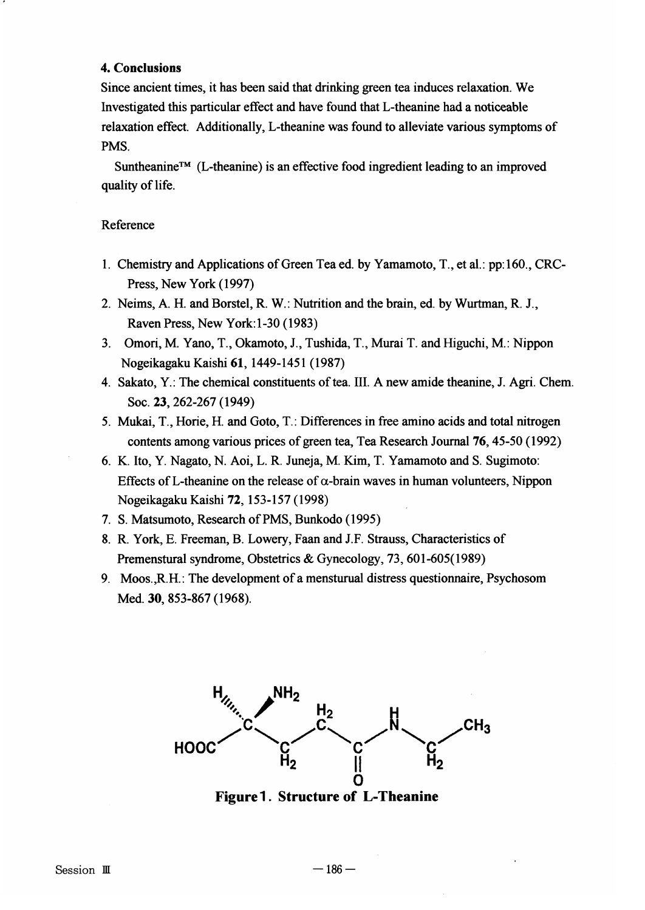# 4. Conclusions

Since ancient times, it has been said that drinking green tea induces relaxation. We Investigated this particular effect and have found that L-theanine had a noticeable relaxation effect. Additionally, L-theanine was found to alleviate various symptoms of PMS.

Suntheanine™ (L-theanine) is an effective food ingredient leading to an improved quality of life.

# Reference

- 1. Chemistry and Applications ofGreen Tea ed. by Yamamoto, T., et al.: pp: 160., CRC-Press, New York (1997)
- 2. Neims, A. H. and Borstel, R. W.: Nutrition and the brain, ed. by Wurtman, R. J., Raven Press, New York: 1-30 (1983)
- 3. Omori, M. Yano, T., Okamoto, J., Tushida, T., Murai T. and Higuchi, M.: Nippon Nogeikagaku Kaishi 61,1449-1451 (1987)
- 4. Sakato, Y.: The chemical constituents oftea. III. A new amide theanine, J. Agri. Chern. Soc. 23,262-267(1949)
- 5. Mukai, T., Horie, H. and Goto, T.: Differences in free amino acids and total nitrogen contents among various prices of green tea, Tea Research Journal 76, 45-50 (1992)
- 6. K. Ito, Y. Nagato, N. Aoi, L. R. Juneja, M. Kim, T. Yamamoto and S. Sugimoto: Effects of L-theanine on the release of  $\alpha$ -brain waves in human volunteers, Nippon Nogeikagaku Kaishi 72, 153-157 (1998)
- 7. S. Matsumoto, Research of PMS, Bunkodo (1995)
- 8. R. York, E. Freeman, B. Lowery, Faan and J.F. Strauss, Characteristics of Premenstural syndrome, Obstetrics & Gynecology, 73, 601-605(1989)
- 9. Moos.,R.H.: The development of a mensturual distress questionnaire, Psychosom Med. 30, 853-867 (1968).



Figure1. Structure of L-Theanine